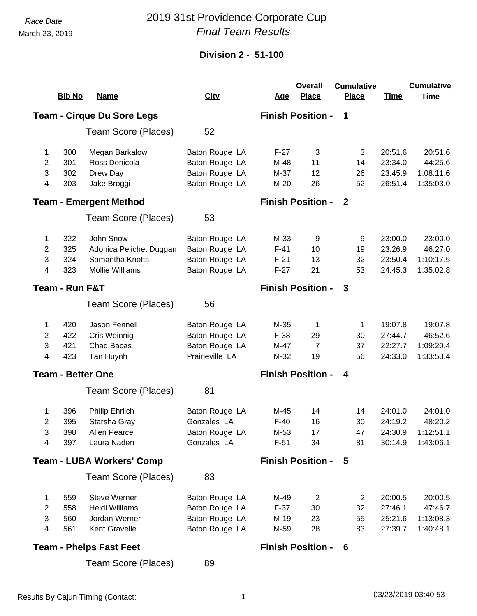## *Race Date* 2019 31st Providence Corporate Cup *Final Team Results*

### **Division 2 - 51-100**

| <b>Bib No</b><br><b>City</b><br><b>Place</b><br><b>Place</b><br><b>Name</b><br><b>Time</b><br><b>Time</b><br><u>Age</u><br><b>Finish Position -</b><br><b>Team - Cirque Du Sore Legs</b><br>1<br>52<br>Team Score (Places)<br>300<br>20:51.6<br>20:51.6<br>Megan Barkalow<br>Baton Rouge LA<br>$F-27$<br>3<br>3<br>1<br>301<br>Ross Denicola<br>Baton Rouge LA<br>23:34.0<br>44:25.6<br>2<br>M-48<br>11<br>14<br>3<br>302<br>Baton Rouge LA<br>1:08:11.6<br>Drew Day<br>M-37<br>12<br>26<br>23:45.9<br>Baton Rouge LA<br>4<br>303<br>26<br>52<br>26:51.4<br>1:35:03.0<br>Jake Broggi<br>$M-20$<br><b>Finish Position -</b><br><b>Team - Emergent Method</b><br>-2<br>53<br>Team Score (Places)<br>John Snow<br>23:00.0<br>23:00.0<br>322<br>Baton Rouge LA<br>$M-33$<br>9<br>9<br>1.<br>2<br>325<br>Baton Rouge LA<br>$F-41$<br>23:26.9<br>46:27.0<br>Adonica Pelichet Duggan<br>10<br>19<br>3<br>324<br>Samantha Knotts<br>Baton Rouge LA<br>$F-21$<br>23:50.4<br>1:10:17.5<br>13<br>32<br>4<br>323<br><b>Mollie Williams</b><br>Baton Rouge LA<br>$F-27$<br>21<br>53<br>24:45.3<br>1:35:02.8<br>Team - Run F&T<br><b>Finish Position -</b><br>3<br>Team Score (Places)<br>56<br>19:07.8<br>420<br>Jason Fennell<br>Baton Rouge LA<br>M-35<br>19:07.8<br>1<br>1<br>1<br>2<br>422<br>Cris Weinnig<br>Baton Rouge LA<br>$F-38$<br>27:44.7<br>46:52.6<br>29<br>30<br>3<br>421<br>Chad Bacas<br>Baton Rouge LA<br>M-47<br>22:27.7<br>1:09:20.4<br>$\overline{7}$<br>37<br>Prairieville LA<br>423<br>19<br>24:33.0<br>1:33:53.4<br>4<br>Tan Huynh<br>M-32<br>56<br><b>Finish Position -</b><br><b>Team - Better One</b><br>4<br>Team Score (Places)<br>81<br>24:01.0<br><b>Philip Ehrlich</b><br>Baton Rouge LA<br>24:01.0<br>396<br>M-45<br>14<br>14<br>1<br>Gonzales LA<br>395<br>Starsha Gray<br>$F-40$<br>24:19.2<br>48:20.2<br>2<br>16<br>30<br>3<br>398<br>Baton Rouge LA<br>M-53<br>17<br>47<br>24:30.9 1:12:51.1<br>Allen Pearce<br>Gonzales LA<br>397<br>Laura Naden<br>$F-51$<br>34<br>81<br>30:14.9<br>1:43:06.1<br>4<br><b>Finish Position -</b><br><b>Team - LUBA Workers' Comp</b><br>5<br>83<br>Team Score (Places)<br><b>Steve Werner</b><br>559<br>Baton Rouge LA<br>M-49<br>20:00.5<br>20:00.5<br>$\overline{2}$<br>$\overline{2}$<br>1<br>2<br><b>Heidi Williams</b><br>Baton Rouge LA<br>27:46.1<br>558<br>$F-37$<br>30<br>32<br>47:46.7<br>Baton Rouge LA<br>3<br>Jordan Werner<br>560<br>M-19<br>23<br>55<br>25:21.6<br>1:13:08.3<br>Baton Rouge LA<br>561<br>Kent Gravelle<br>28<br>27:39.7<br>4<br>M-59<br>83<br>1:40:48.1<br><b>Finish Position -</b><br><b>Team - Phelps Fast Feet</b><br>6 |  |  |                     |    |  | <b>Overall</b> | <b>Cumulative</b> |  | <b>Cumulative</b> |
|-------------------------------------------------------------------------------------------------------------------------------------------------------------------------------------------------------------------------------------------------------------------------------------------------------------------------------------------------------------------------------------------------------------------------------------------------------------------------------------------------------------------------------------------------------------------------------------------------------------------------------------------------------------------------------------------------------------------------------------------------------------------------------------------------------------------------------------------------------------------------------------------------------------------------------------------------------------------------------------------------------------------------------------------------------------------------------------------------------------------------------------------------------------------------------------------------------------------------------------------------------------------------------------------------------------------------------------------------------------------------------------------------------------------------------------------------------------------------------------------------------------------------------------------------------------------------------------------------------------------------------------------------------------------------------------------------------------------------------------------------------------------------------------------------------------------------------------------------------------------------------------------------------------------------------------------------------------------------------------------------------------------------------------------------------------------------------------------------------------------------------------------------------------------------------------------------------------------------------------------------------------------------------------------------------------------------------------------------------------------------------------------------------------------------------------------------------------------------------------------------------------------------------------------------------------------------------------------------------------------|--|--|---------------------|----|--|----------------|-------------------|--|-------------------|
|                                                                                                                                                                                                                                                                                                                                                                                                                                                                                                                                                                                                                                                                                                                                                                                                                                                                                                                                                                                                                                                                                                                                                                                                                                                                                                                                                                                                                                                                                                                                                                                                                                                                                                                                                                                                                                                                                                                                                                                                                                                                                                                                                                                                                                                                                                                                                                                                                                                                                                                                                                                                                   |  |  |                     |    |  |                |                   |  |                   |
|                                                                                                                                                                                                                                                                                                                                                                                                                                                                                                                                                                                                                                                                                                                                                                                                                                                                                                                                                                                                                                                                                                                                                                                                                                                                                                                                                                                                                                                                                                                                                                                                                                                                                                                                                                                                                                                                                                                                                                                                                                                                                                                                                                                                                                                                                                                                                                                                                                                                                                                                                                                                                   |  |  |                     |    |  |                |                   |  |                   |
|                                                                                                                                                                                                                                                                                                                                                                                                                                                                                                                                                                                                                                                                                                                                                                                                                                                                                                                                                                                                                                                                                                                                                                                                                                                                                                                                                                                                                                                                                                                                                                                                                                                                                                                                                                                                                                                                                                                                                                                                                                                                                                                                                                                                                                                                                                                                                                                                                                                                                                                                                                                                                   |  |  |                     |    |  |                |                   |  |                   |
|                                                                                                                                                                                                                                                                                                                                                                                                                                                                                                                                                                                                                                                                                                                                                                                                                                                                                                                                                                                                                                                                                                                                                                                                                                                                                                                                                                                                                                                                                                                                                                                                                                                                                                                                                                                                                                                                                                                                                                                                                                                                                                                                                                                                                                                                                                                                                                                                                                                                                                                                                                                                                   |  |  |                     |    |  |                |                   |  |                   |
|                                                                                                                                                                                                                                                                                                                                                                                                                                                                                                                                                                                                                                                                                                                                                                                                                                                                                                                                                                                                                                                                                                                                                                                                                                                                                                                                                                                                                                                                                                                                                                                                                                                                                                                                                                                                                                                                                                                                                                                                                                                                                                                                                                                                                                                                                                                                                                                                                                                                                                                                                                                                                   |  |  |                     |    |  |                |                   |  |                   |
|                                                                                                                                                                                                                                                                                                                                                                                                                                                                                                                                                                                                                                                                                                                                                                                                                                                                                                                                                                                                                                                                                                                                                                                                                                                                                                                                                                                                                                                                                                                                                                                                                                                                                                                                                                                                                                                                                                                                                                                                                                                                                                                                                                                                                                                                                                                                                                                                                                                                                                                                                                                                                   |  |  |                     |    |  |                |                   |  |                   |
|                                                                                                                                                                                                                                                                                                                                                                                                                                                                                                                                                                                                                                                                                                                                                                                                                                                                                                                                                                                                                                                                                                                                                                                                                                                                                                                                                                                                                                                                                                                                                                                                                                                                                                                                                                                                                                                                                                                                                                                                                                                                                                                                                                                                                                                                                                                                                                                                                                                                                                                                                                                                                   |  |  |                     |    |  |                |                   |  |                   |
|                                                                                                                                                                                                                                                                                                                                                                                                                                                                                                                                                                                                                                                                                                                                                                                                                                                                                                                                                                                                                                                                                                                                                                                                                                                                                                                                                                                                                                                                                                                                                                                                                                                                                                                                                                                                                                                                                                                                                                                                                                                                                                                                                                                                                                                                                                                                                                                                                                                                                                                                                                                                                   |  |  |                     |    |  |                |                   |  |                   |
|                                                                                                                                                                                                                                                                                                                                                                                                                                                                                                                                                                                                                                                                                                                                                                                                                                                                                                                                                                                                                                                                                                                                                                                                                                                                                                                                                                                                                                                                                                                                                                                                                                                                                                                                                                                                                                                                                                                                                                                                                                                                                                                                                                                                                                                                                                                                                                                                                                                                                                                                                                                                                   |  |  |                     |    |  |                |                   |  |                   |
|                                                                                                                                                                                                                                                                                                                                                                                                                                                                                                                                                                                                                                                                                                                                                                                                                                                                                                                                                                                                                                                                                                                                                                                                                                                                                                                                                                                                                                                                                                                                                                                                                                                                                                                                                                                                                                                                                                                                                                                                                                                                                                                                                                                                                                                                                                                                                                                                                                                                                                                                                                                                                   |  |  |                     |    |  |                |                   |  |                   |
|                                                                                                                                                                                                                                                                                                                                                                                                                                                                                                                                                                                                                                                                                                                                                                                                                                                                                                                                                                                                                                                                                                                                                                                                                                                                                                                                                                                                                                                                                                                                                                                                                                                                                                                                                                                                                                                                                                                                                                                                                                                                                                                                                                                                                                                                                                                                                                                                                                                                                                                                                                                                                   |  |  |                     |    |  |                |                   |  |                   |
|                                                                                                                                                                                                                                                                                                                                                                                                                                                                                                                                                                                                                                                                                                                                                                                                                                                                                                                                                                                                                                                                                                                                                                                                                                                                                                                                                                                                                                                                                                                                                                                                                                                                                                                                                                                                                                                                                                                                                                                                                                                                                                                                                                                                                                                                                                                                                                                                                                                                                                                                                                                                                   |  |  |                     |    |  |                |                   |  |                   |
|                                                                                                                                                                                                                                                                                                                                                                                                                                                                                                                                                                                                                                                                                                                                                                                                                                                                                                                                                                                                                                                                                                                                                                                                                                                                                                                                                                                                                                                                                                                                                                                                                                                                                                                                                                                                                                                                                                                                                                                                                                                                                                                                                                                                                                                                                                                                                                                                                                                                                                                                                                                                                   |  |  |                     |    |  |                |                   |  |                   |
|                                                                                                                                                                                                                                                                                                                                                                                                                                                                                                                                                                                                                                                                                                                                                                                                                                                                                                                                                                                                                                                                                                                                                                                                                                                                                                                                                                                                                                                                                                                                                                                                                                                                                                                                                                                                                                                                                                                                                                                                                                                                                                                                                                                                                                                                                                                                                                                                                                                                                                                                                                                                                   |  |  |                     |    |  |                |                   |  |                   |
|                                                                                                                                                                                                                                                                                                                                                                                                                                                                                                                                                                                                                                                                                                                                                                                                                                                                                                                                                                                                                                                                                                                                                                                                                                                                                                                                                                                                                                                                                                                                                                                                                                                                                                                                                                                                                                                                                                                                                                                                                                                                                                                                                                                                                                                                                                                                                                                                                                                                                                                                                                                                                   |  |  |                     |    |  |                |                   |  |                   |
|                                                                                                                                                                                                                                                                                                                                                                                                                                                                                                                                                                                                                                                                                                                                                                                                                                                                                                                                                                                                                                                                                                                                                                                                                                                                                                                                                                                                                                                                                                                                                                                                                                                                                                                                                                                                                                                                                                                                                                                                                                                                                                                                                                                                                                                                                                                                                                                                                                                                                                                                                                                                                   |  |  |                     |    |  |                |                   |  |                   |
|                                                                                                                                                                                                                                                                                                                                                                                                                                                                                                                                                                                                                                                                                                                                                                                                                                                                                                                                                                                                                                                                                                                                                                                                                                                                                                                                                                                                                                                                                                                                                                                                                                                                                                                                                                                                                                                                                                                                                                                                                                                                                                                                                                                                                                                                                                                                                                                                                                                                                                                                                                                                                   |  |  |                     |    |  |                |                   |  |                   |
|                                                                                                                                                                                                                                                                                                                                                                                                                                                                                                                                                                                                                                                                                                                                                                                                                                                                                                                                                                                                                                                                                                                                                                                                                                                                                                                                                                                                                                                                                                                                                                                                                                                                                                                                                                                                                                                                                                                                                                                                                                                                                                                                                                                                                                                                                                                                                                                                                                                                                                                                                                                                                   |  |  |                     |    |  |                |                   |  |                   |
|                                                                                                                                                                                                                                                                                                                                                                                                                                                                                                                                                                                                                                                                                                                                                                                                                                                                                                                                                                                                                                                                                                                                                                                                                                                                                                                                                                                                                                                                                                                                                                                                                                                                                                                                                                                                                                                                                                                                                                                                                                                                                                                                                                                                                                                                                                                                                                                                                                                                                                                                                                                                                   |  |  |                     |    |  |                |                   |  |                   |
|                                                                                                                                                                                                                                                                                                                                                                                                                                                                                                                                                                                                                                                                                                                                                                                                                                                                                                                                                                                                                                                                                                                                                                                                                                                                                                                                                                                                                                                                                                                                                                                                                                                                                                                                                                                                                                                                                                                                                                                                                                                                                                                                                                                                                                                                                                                                                                                                                                                                                                                                                                                                                   |  |  |                     |    |  |                |                   |  |                   |
|                                                                                                                                                                                                                                                                                                                                                                                                                                                                                                                                                                                                                                                                                                                                                                                                                                                                                                                                                                                                                                                                                                                                                                                                                                                                                                                                                                                                                                                                                                                                                                                                                                                                                                                                                                                                                                                                                                                                                                                                                                                                                                                                                                                                                                                                                                                                                                                                                                                                                                                                                                                                                   |  |  |                     |    |  |                |                   |  |                   |
|                                                                                                                                                                                                                                                                                                                                                                                                                                                                                                                                                                                                                                                                                                                                                                                                                                                                                                                                                                                                                                                                                                                                                                                                                                                                                                                                                                                                                                                                                                                                                                                                                                                                                                                                                                                                                                                                                                                                                                                                                                                                                                                                                                                                                                                                                                                                                                                                                                                                                                                                                                                                                   |  |  |                     |    |  |                |                   |  |                   |
|                                                                                                                                                                                                                                                                                                                                                                                                                                                                                                                                                                                                                                                                                                                                                                                                                                                                                                                                                                                                                                                                                                                                                                                                                                                                                                                                                                                                                                                                                                                                                                                                                                                                                                                                                                                                                                                                                                                                                                                                                                                                                                                                                                                                                                                                                                                                                                                                                                                                                                                                                                                                                   |  |  |                     |    |  |                |                   |  |                   |
|                                                                                                                                                                                                                                                                                                                                                                                                                                                                                                                                                                                                                                                                                                                                                                                                                                                                                                                                                                                                                                                                                                                                                                                                                                                                                                                                                                                                                                                                                                                                                                                                                                                                                                                                                                                                                                                                                                                                                                                                                                                                                                                                                                                                                                                                                                                                                                                                                                                                                                                                                                                                                   |  |  |                     |    |  |                |                   |  |                   |
|                                                                                                                                                                                                                                                                                                                                                                                                                                                                                                                                                                                                                                                                                                                                                                                                                                                                                                                                                                                                                                                                                                                                                                                                                                                                                                                                                                                                                                                                                                                                                                                                                                                                                                                                                                                                                                                                                                                                                                                                                                                                                                                                                                                                                                                                                                                                                                                                                                                                                                                                                                                                                   |  |  |                     |    |  |                |                   |  |                   |
|                                                                                                                                                                                                                                                                                                                                                                                                                                                                                                                                                                                                                                                                                                                                                                                                                                                                                                                                                                                                                                                                                                                                                                                                                                                                                                                                                                                                                                                                                                                                                                                                                                                                                                                                                                                                                                                                                                                                                                                                                                                                                                                                                                                                                                                                                                                                                                                                                                                                                                                                                                                                                   |  |  |                     |    |  |                |                   |  |                   |
|                                                                                                                                                                                                                                                                                                                                                                                                                                                                                                                                                                                                                                                                                                                                                                                                                                                                                                                                                                                                                                                                                                                                                                                                                                                                                                                                                                                                                                                                                                                                                                                                                                                                                                                                                                                                                                                                                                                                                                                                                                                                                                                                                                                                                                                                                                                                                                                                                                                                                                                                                                                                                   |  |  |                     |    |  |                |                   |  |                   |
|                                                                                                                                                                                                                                                                                                                                                                                                                                                                                                                                                                                                                                                                                                                                                                                                                                                                                                                                                                                                                                                                                                                                                                                                                                                                                                                                                                                                                                                                                                                                                                                                                                                                                                                                                                                                                                                                                                                                                                                                                                                                                                                                                                                                                                                                                                                                                                                                                                                                                                                                                                                                                   |  |  |                     |    |  |                |                   |  |                   |
|                                                                                                                                                                                                                                                                                                                                                                                                                                                                                                                                                                                                                                                                                                                                                                                                                                                                                                                                                                                                                                                                                                                                                                                                                                                                                                                                                                                                                                                                                                                                                                                                                                                                                                                                                                                                                                                                                                                                                                                                                                                                                                                                                                                                                                                                                                                                                                                                                                                                                                                                                                                                                   |  |  |                     |    |  |                |                   |  |                   |
|                                                                                                                                                                                                                                                                                                                                                                                                                                                                                                                                                                                                                                                                                                                                                                                                                                                                                                                                                                                                                                                                                                                                                                                                                                                                                                                                                                                                                                                                                                                                                                                                                                                                                                                                                                                                                                                                                                                                                                                                                                                                                                                                                                                                                                                                                                                                                                                                                                                                                                                                                                                                                   |  |  |                     |    |  |                |                   |  |                   |
|                                                                                                                                                                                                                                                                                                                                                                                                                                                                                                                                                                                                                                                                                                                                                                                                                                                                                                                                                                                                                                                                                                                                                                                                                                                                                                                                                                                                                                                                                                                                                                                                                                                                                                                                                                                                                                                                                                                                                                                                                                                                                                                                                                                                                                                                                                                                                                                                                                                                                                                                                                                                                   |  |  |                     |    |  |                |                   |  |                   |
|                                                                                                                                                                                                                                                                                                                                                                                                                                                                                                                                                                                                                                                                                                                                                                                                                                                                                                                                                                                                                                                                                                                                                                                                                                                                                                                                                                                                                                                                                                                                                                                                                                                                                                                                                                                                                                                                                                                                                                                                                                                                                                                                                                                                                                                                                                                                                                                                                                                                                                                                                                                                                   |  |  |                     |    |  |                |                   |  |                   |
|                                                                                                                                                                                                                                                                                                                                                                                                                                                                                                                                                                                                                                                                                                                                                                                                                                                                                                                                                                                                                                                                                                                                                                                                                                                                                                                                                                                                                                                                                                                                                                                                                                                                                                                                                                                                                                                                                                                                                                                                                                                                                                                                                                                                                                                                                                                                                                                                                                                                                                                                                                                                                   |  |  | Team Score (Places) | 89 |  |                |                   |  |                   |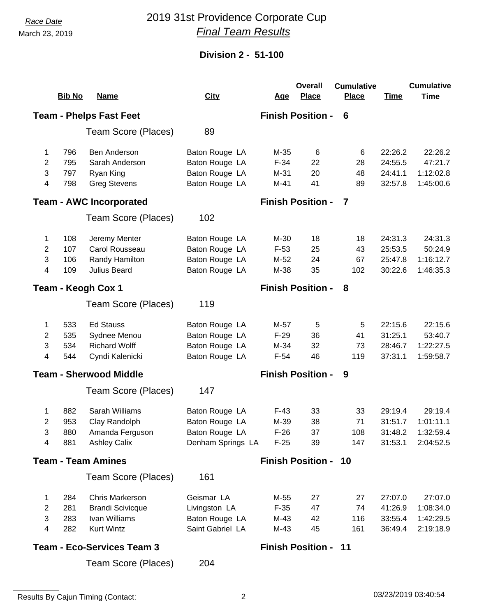## *Race Date* 2019 31st Providence Corporate Cup *Final Team Results*

### **Division 2 - 51-100**

|                                                                 |               |                                   |                   |            | <b>Overall</b>              | <b>Cumulative</b> |             | <b>Cumulative</b> |
|-----------------------------------------------------------------|---------------|-----------------------------------|-------------------|------------|-----------------------------|-------------------|-------------|-------------------|
|                                                                 | <b>Bib No</b> | <b>Name</b>                       | <b>City</b>       | <u>Age</u> | <b>Place</b>                | <b>Place</b>      | <b>Time</b> | <b>Time</b>       |
| <b>Team - Phelps Fast Feet</b><br><b>Finish Position -</b><br>6 |               |                                   |                   |            |                             |                   |             |                   |
|                                                                 |               | Team Score (Places)               | 89                |            |                             |                   |             |                   |
| 1                                                               | 796           | Ben Anderson                      | Baton Rouge LA    | $M-35$     | 6                           | 6                 | 22:26.2     | 22:26.2           |
| 2                                                               | 795           | Sarah Anderson                    | Baton Rouge LA    | $F-34$     | 22                          | 28                | 24:55.5     | 47:21.7           |
| 3                                                               | 797           | Ryan King                         | Baton Rouge LA    | M-31       | 20                          | 48                | 24:41.1     | 1:12:02.8         |
| 4                                                               | 798           | <b>Greg Stevens</b>               | Baton Rouge LA    | $M-41$     | 41                          | 89                | 32:57.8     | 1:45:00.6         |
|                                                                 |               | <b>Team - AWC Incorporated</b>    |                   |            | <b>Finish Position -</b>    | 7                 |             |                   |
|                                                                 |               | Team Score (Places)               | 102               |            |                             |                   |             |                   |
| 1                                                               | 108           | Jeremy Menter                     | Baton Rouge LA    | M-30       | 18                          | 18                | 24:31.3     | 24:31.3           |
| 2                                                               | 107           | Carol Rousseau                    | Baton Rouge LA    | $F-53$     | 25                          | 43                | 25:53.5     | 50:24.9           |
| 3                                                               | 106           | Randy Hamilton                    | Baton Rouge LA    | M-52       | 24                          | 67                | 25:47.8     | 1:16:12.7         |
| 4                                                               | 109           | Julius Beard                      | Baton Rouge LA    | M-38       | 35                          | 102               | 30:22.6     | 1:46:35.3         |
|                                                                 |               | Team - Keogh Cox 1                |                   |            | <b>Finish Position -</b>    | 8                 |             |                   |
|                                                                 |               | Team Score (Places)               | 119               |            |                             |                   |             |                   |
| 1                                                               | 533           | <b>Ed Stauss</b>                  | Baton Rouge LA    | M-57       | 5                           | 5                 | 22:15.6     | 22:15.6           |
| 2                                                               | 535           | Sydnee Menou                      | Baton Rouge LA    | $F-29$     | 36                          | 41                | 31:25.1     | 53:40.7           |
| 3                                                               | 534           | <b>Richard Wolff</b>              | Baton Rouge LA    | M-34       | 32                          | 73                | 28:46.7     | 1:22:27.5         |
| 4                                                               | 544           | Cyndi Kalenicki                   | Baton Rouge LA    | $F-54$     | 46                          | 119               | 37:31.1     | 1:59:58.7         |
|                                                                 |               | <b>Team - Sherwood Middle</b>     |                   |            | <b>Finish Position -</b>    | 9                 |             |                   |
|                                                                 |               | Team Score (Places)               | 147               |            |                             |                   |             |                   |
| 1                                                               | 882           | Sarah Williams                    | Baton Rouge LA    | $F-43$     | 33                          | 33                | 29:19.4     | 29:19.4           |
| 2                                                               | 953           | Clay Randolph                     | Baton Rouge LA    | M-39       | 38                          | 71                | 31:51.7     | 1:01:11.1         |
| 3                                                               | 880           | Amanda Ferguson                   | Baton Rouge LA    | $F-26$     | 37                          | 108               | 31:48.2     | 1:32:59.4         |
| 4                                                               | 881           | <b>Ashley Calix</b>               | Denham Springs LA | $F-25$     | 39                          | 147               | 31:53.1     | 2:04:52.5         |
| <b>Team - Team Amines</b>                                       |               |                                   |                   |            | <b>Finish Position - 10</b> |                   |             |                   |
|                                                                 |               | Team Score (Places)               | 161               |            |                             |                   |             |                   |
| 1                                                               | 284           | <b>Chris Markerson</b>            | Geismar LA        | M-55       | 27                          | 27                | 27:07.0     | 27:07.0           |
| 2                                                               | 281           | <b>Brandi Scivicque</b>           | Livingston LA     | $F-35$     | 47                          | 74                | 41:26.9     | 1:08:34.0         |
| 3                                                               | 283           | Ivan Williams                     | Baton Rouge LA    | M-43       | 42                          | 116               | 33:55.4     | 1:42:29.5         |
| 4                                                               | 282           | <b>Kurt Wintz</b>                 | Saint Gabriel LA  | $M-43$     | 45                          | 161               | 36:49.4     | 2:19:18.9         |
|                                                                 |               | <b>Team - Eco-Services Team 3</b> |                   |            | <b>Finish Position - 11</b> |                   |             |                   |

204 Team Score (Places)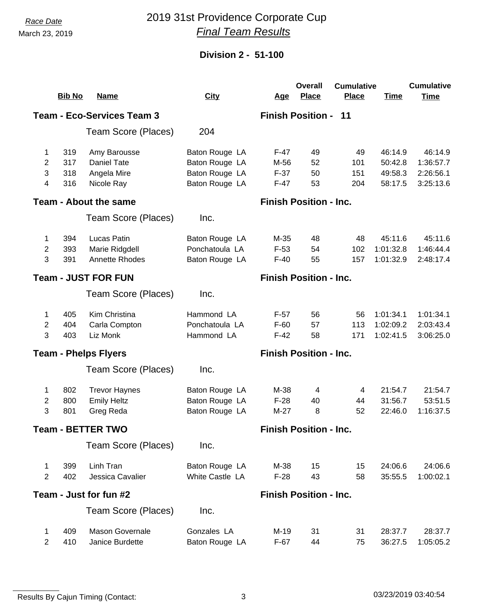## *Race Date* 2019 31st Providence Corporate Cup *Final Team Results*

### **Division 2 - 51-100**

|                                                                  |                                                             |                              |                               |            | <b>Overall</b>                | <b>Cumulative</b> |             | <b>Cumulative</b> |
|------------------------------------------------------------------|-------------------------------------------------------------|------------------------------|-------------------------------|------------|-------------------------------|-------------------|-------------|-------------------|
|                                                                  | <b>Bib No</b>                                               | <u>Name</u>                  | <b>City</b>                   | <u>Age</u> | <b>Place</b>                  | <b>Place</b>      | <b>Time</b> | <b>Time</b>       |
| <b>Team - Eco-Services Team 3</b><br><b>Finish Position - 11</b> |                                                             |                              |                               |            |                               |                   |             |                   |
|                                                                  |                                                             | Team Score (Places)          | 204                           |            |                               |                   |             |                   |
| 1                                                                | 319                                                         | Amy Barousse                 | Baton Rouge LA                | F-47       | 49                            | 49                | 46:14.9     | 46:14.9           |
| 2                                                                | 317                                                         | <b>Daniel Tate</b>           | Baton Rouge LA                | M-56       | 52                            | 101               | 50:42.8     | 1:36:57.7         |
| 3                                                                | 318                                                         | Angela Mire                  | Baton Rouge LA                | $F-37$     | 50                            | 151               | 49:58.3     | 2:26:56.1         |
| 4                                                                | 316                                                         | Nicole Ray                   | Baton Rouge LA                | $F-47$     | 53                            | 204               | 58:17.5     | 3:25:13.6         |
|                                                                  |                                                             | <b>Team - About the same</b> |                               |            | <b>Finish Position - Inc.</b> |                   |             |                   |
|                                                                  |                                                             | Team Score (Places)          | Inc.                          |            |                               |                   |             |                   |
| 1                                                                | 394                                                         | Lucas Patin                  | Baton Rouge LA                | M-35       | 48                            | 48                | 45:11.6     | 45:11.6           |
| 2                                                                | 393                                                         | Marie Ridgdell               | Ponchatoula LA                | $F-53$     | 54                            | 102               | 1:01:32.8   | 1:46:44.4         |
| 3                                                                | 391                                                         | Annette Rhodes               | Baton Rouge LA                | $F-40$     | 55                            | 157               | 1:01:32.9   | 2:48:17.4         |
|                                                                  | <b>Team - JUST FOR FUN</b><br><b>Finish Position - Inc.</b> |                              |                               |            |                               |                   |             |                   |
|                                                                  |                                                             | Team Score (Places)          | Inc.                          |            |                               |                   |             |                   |
| 1                                                                | 405                                                         | Kim Christina                | Hammond LA                    | $F-57$     | 56                            | 56                | 1:01:34.1   | 1:01:34.1         |
| $\overline{2}$                                                   | 404                                                         | Carla Compton                | Ponchatoula LA                | $F-60$     | 57                            | 113               | 1:02:09.2   | 2:03:43.4         |
| 3                                                                | 403                                                         | Liz Monk                     | Hammond LA                    | $F-42$     | 58                            | 171               | 1:02:41.5   | 3:06:25.0         |
|                                                                  |                                                             | <b>Team - Phelps Flyers</b>  | <b>Finish Position - Inc.</b> |            |                               |                   |             |                   |
|                                                                  |                                                             | Team Score (Places)          | Inc.                          |            |                               |                   |             |                   |
| 1                                                                | 802                                                         | <b>Trevor Haynes</b>         | Baton Rouge LA                | M-38       | 4                             | 4                 | 21:54.7     | 21:54.7           |
| 2                                                                | 800                                                         | <b>Emily Heltz</b>           | Baton Rouge LA                | $F-28$     | 40                            | 44                | 31:56.7     | 53:51.5           |
| 3                                                                | 801                                                         | Greg Reda                    | Baton Rouge LA                | $M-27$     | 8                             | 52                | 22:46.0     | 1:16:37.5         |
|                                                                  |                                                             | <b>Team - BETTER TWO</b>     |                               |            | <b>Finish Position - Inc.</b> |                   |             |                   |
|                                                                  |                                                             | Team Score (Places)          | Inc.                          |            |                               |                   |             |                   |
| 1                                                                | 399                                                         | Linh Tran                    | Baton Rouge LA                | M-38       | 15                            | 15                | 24:06.6     | 24:06.6           |
| $\overline{2}$                                                   | 402                                                         | Jessica Cavalier             | White Castle LA               | $F-28$     | 43                            | 58                | 35:55.5     | 1:00:02.1         |
| Team - Just for fun #2<br><b>Finish Position - Inc.</b>          |                                                             |                              |                               |            |                               |                   |             |                   |
|                                                                  |                                                             | Team Score (Places)          | Inc.                          |            |                               |                   |             |                   |
| 1                                                                | 409                                                         | <b>Mason Governale</b>       | Gonzales LA                   | M-19       | 31                            | 31                | 28:37.7     | 28:37.7           |
| $\overline{2}$                                                   | 410                                                         | Janice Burdette              | Baton Rouge LA                | $F-67$     | 44                            | 75                | 36:27.5     | 1:05:05.2         |